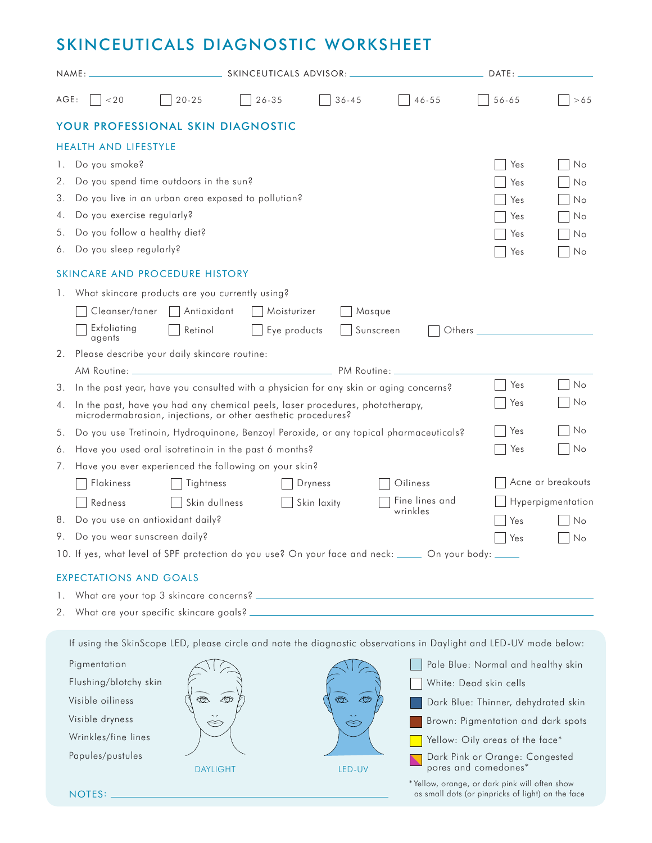## SKINCEUTICALS DIAGNOSTIC WORKSHEET

| NAME: |                                                                                                                                                                                                          | SKINCEUTICALS ADVISOR: |              |                                               |                                                                                                                   | DATE:                                                                                              |                   |  |
|-------|----------------------------------------------------------------------------------------------------------------------------------------------------------------------------------------------------------|------------------------|--------------|-----------------------------------------------|-------------------------------------------------------------------------------------------------------------------|----------------------------------------------------------------------------------------------------|-------------------|--|
| AGE:  | < 20                                                                                                                                                                                                     | $20 - 25$              | $26 - 35$    | $36 - 45$                                     | $46 - 55$                                                                                                         | $56 - 65$                                                                                          | >65               |  |
|       | YOUR PROFESSIONAL SKIN DIAGNOSTIC                                                                                                                                                                        |                        |              |                                               |                                                                                                                   |                                                                                                    |                   |  |
|       | <b>HEALTH AND LIFESTYLE</b>                                                                                                                                                                              |                        |              |                                               |                                                                                                                   |                                                                                                    |                   |  |
| 1.    | Do you smoke?                                                                                                                                                                                            |                        |              |                                               |                                                                                                                   | Yes                                                                                                | No                |  |
| 2.    | Do you spend time outdoors in the sun?                                                                                                                                                                   |                        |              |                                               |                                                                                                                   | Yes                                                                                                | No                |  |
| З.    | Do you live in an urban area exposed to pollution?                                                                                                                                                       |                        |              |                                               |                                                                                                                   |                                                                                                    | No                |  |
| 4.    | Do you exercise regularly?                                                                                                                                                                               |                        |              |                                               |                                                                                                                   |                                                                                                    | No                |  |
| 5.    | Do you follow a healthy diet?                                                                                                                                                                            |                        |              |                                               |                                                                                                                   | Yes                                                                                                | No                |  |
| 6.    | Do you sleep regularly?                                                                                                                                                                                  |                        |              |                                               |                                                                                                                   | Yes                                                                                                | No                |  |
|       | SKINCARE AND PROCEDURE HISTORY                                                                                                                                                                           |                        |              |                                               |                                                                                                                   |                                                                                                    |                   |  |
|       | 1. What skincare products are you currently using?                                                                                                                                                       |                        |              |                                               |                                                                                                                   |                                                                                                    |                   |  |
|       | Cleanser/toner                                                                                                                                                                                           | Antioxidant            | Moisturizer  | Masque                                        |                                                                                                                   |                                                                                                    |                   |  |
|       | Exfoliatina<br>agents                                                                                                                                                                                    | Retinol                | Eye products |                                               | Sunscreen<br>Others                                                                                               |                                                                                                    |                   |  |
| 2.    | Please describe your daily skincare routine:                                                                                                                                                             |                        |              |                                               |                                                                                                                   |                                                                                                    |                   |  |
|       | AM Routine: _                                                                                                                                                                                            |                        |              | <b>Example 2018</b> 2019 12:00:00 PM Routine: |                                                                                                                   |                                                                                                    |                   |  |
| З.    | In the past year, have you consulted with a physician for any skin or aging concerns?                                                                                                                    |                        |              |                                               |                                                                                                                   | Yes                                                                                                | No                |  |
| 4.    | No<br>Yes<br>In the past, have you had any chemical peels, laser procedures, phototherapy,<br>microdermabrasion, injections, or other aesthetic procedures?                                              |                        |              |                                               |                                                                                                                   |                                                                                                    |                   |  |
| 5.    |                                                                                                                                                                                                          |                        |              |                                               | Do you use Tretinoin, Hydroquinone, Benzoyl Peroxide, or any topical pharmaceuticals?                             | Yes                                                                                                | No                |  |
| 6.    | Have you used oral isotretinoin in the past 6 months?<br>Yes                                                                                                                                             |                        |              |                                               |                                                                                                                   |                                                                                                    | No                |  |
| 7.    | Have you ever experienced the following on your skin?                                                                                                                                                    |                        |              |                                               |                                                                                                                   |                                                                                                    |                   |  |
|       | Oiliness<br>Flakiness<br>Tightness<br>Dryness                                                                                                                                                            |                        |              |                                               |                                                                                                                   |                                                                                                    | Acne or breakouts |  |
|       | Redness                                                                                                                                                                                                  | Skin dullness          |              | Skin laxity                                   | Fine lines and                                                                                                    |                                                                                                    | Hyperpigmentation |  |
|       | 8. Do you use an antioxidant daily?                                                                                                                                                                      |                        |              |                                               | wrinkles                                                                                                          | Yes                                                                                                | No                |  |
| 9.    | Do you wear sunscreen daily?                                                                                                                                                                             |                        |              |                                               |                                                                                                                   | Yes                                                                                                | No                |  |
|       |                                                                                                                                                                                                          |                        |              |                                               | 10. If yes, what level of SPF protection do you use? On your face and neck: _____ On your body: ____              |                                                                                                    |                   |  |
|       | <b>EXPECTATIONS AND GOALS</b>                                                                                                                                                                            |                        |              |                                               |                                                                                                                   |                                                                                                    |                   |  |
| 1.    |                                                                                                                                                                                                          |                        |              |                                               |                                                                                                                   |                                                                                                    |                   |  |
|       |                                                                                                                                                                                                          |                        |              |                                               |                                                                                                                   |                                                                                                    |                   |  |
|       |                                                                                                                                                                                                          |                        |              |                                               | If using the SkinScope LED, please circle and note the diagnostic observations in Daylight and LED-UV mode below: |                                                                                                    |                   |  |
|       | Pigmentation<br>Pale Blue: Normal and healthy skin                                                                                                                                                       |                        |              |                                               |                                                                                                                   |                                                                                                    |                   |  |
|       | Flushing/blotchy skin<br>White: Dead skin cells<br>$\bigoplus$<br>$\bigcirc$<br><b>EB</b><br>Visible oiliness<br>Dark Blue: Thinner, dehydrated skin<br>Visible dryness<br>Ŵ<br>⇔<br>Wrinkles/fine lines |                        |              |                                               |                                                                                                                   |                                                                                                    |                   |  |
|       |                                                                                                                                                                                                          |                        |              |                                               |                                                                                                                   |                                                                                                    |                   |  |
|       |                                                                                                                                                                                                          |                        |              |                                               |                                                                                                                   |                                                                                                    |                   |  |
|       |                                                                                                                                                                                                          |                        |              |                                               |                                                                                                                   | Brown: Pigmentation and dark spots                                                                 |                   |  |
|       |                                                                                                                                                                                                          |                        |              |                                               |                                                                                                                   | Yellow: Oily areas of the face*                                                                    |                   |  |
|       | Papules/pustules                                                                                                                                                                                         | <b>DAYLIGHT</b>        |              | LED-UV                                        |                                                                                                                   | Dark Pink or Orange: Congested<br>pores and comedones*                                             |                   |  |
|       | NOTES:                                                                                                                                                                                                   |                        |              |                                               |                                                                                                                   | *Yellow, orange, or dark pink will often show<br>as small dots (or pinpricks of light) on the face |                   |  |